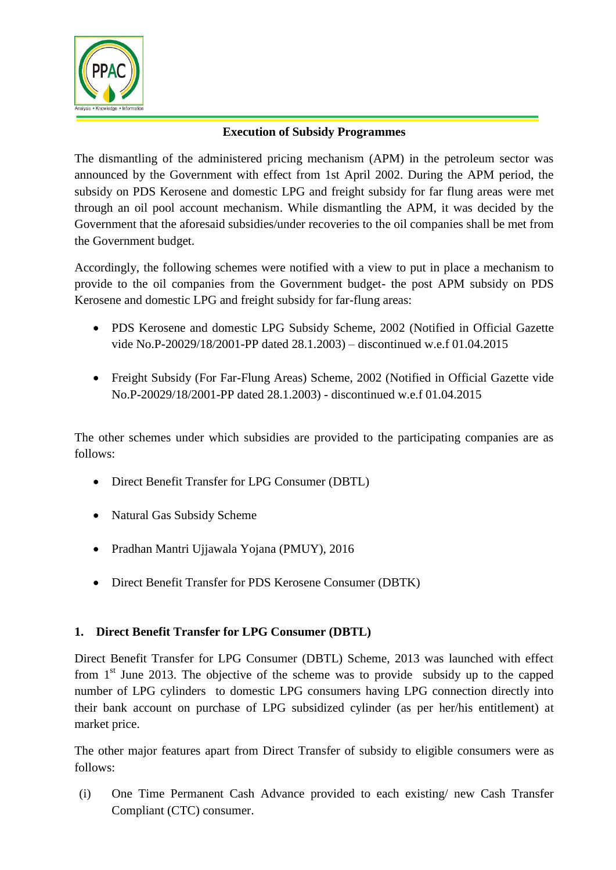

## **Execution of Subsidy Programmes**

The dismantling of the administered pricing mechanism (APM) in the petroleum sector was announced by the Government with effect from 1st April 2002. During the APM period, the subsidy on PDS Kerosene and domestic LPG and freight subsidy for far flung areas were met through an oil pool account mechanism. While dismantling the APM, it was decided by the Government that the aforesaid subsidies/under recoveries to the oil companies shall be met from the Government budget.

Accordingly, the following schemes were notified with a view to put in place a mechanism to provide to the oil companies from the Government budget- the post APM subsidy on PDS Kerosene and domestic LPG and freight subsidy for far-flung areas:

- PDS Kerosene and domestic LPG Subsidy Scheme, 2002 (Notified in Official Gazette vide No.P-20029/18/2001-PP dated 28.1.2003) – discontinued w.e.f 01.04.2015
- Freight Subsidy (For Far-Flung Areas) Scheme, 2002 (Notified in Official Gazette vide No.P-20029/18/2001-PP dated 28.1.2003) - discontinued w.e.f 01.04.2015

The other schemes under which subsidies are provided to the participating companies are as follows:

- Direct Benefit Transfer for LPG Consumer (DBTL)
- Natural Gas Subsidy Scheme
- Pradhan Mantri Ujjawala Yojana (PMUY), 2016
- Direct Benefit Transfer for PDS Kerosene Consumer (DBTK)

## **1. Direct Benefit Transfer for LPG Consumer (DBTL)**

Direct Benefit Transfer for LPG Consumer (DBTL) Scheme, 2013 was launched with effect from  $1<sup>st</sup>$  June 2013. The objective of the scheme was to provide subsidy up to the capped number of LPG cylinders to domestic LPG consumers having LPG connection directly into their bank account on purchase of LPG subsidized cylinder (as per her/his entitlement) at market price.

The other major features apart from Direct Transfer of subsidy to eligible consumers were as follows:

(i) One Time Permanent Cash Advance provided to each existing/ new Cash Transfer Compliant (CTC) consumer.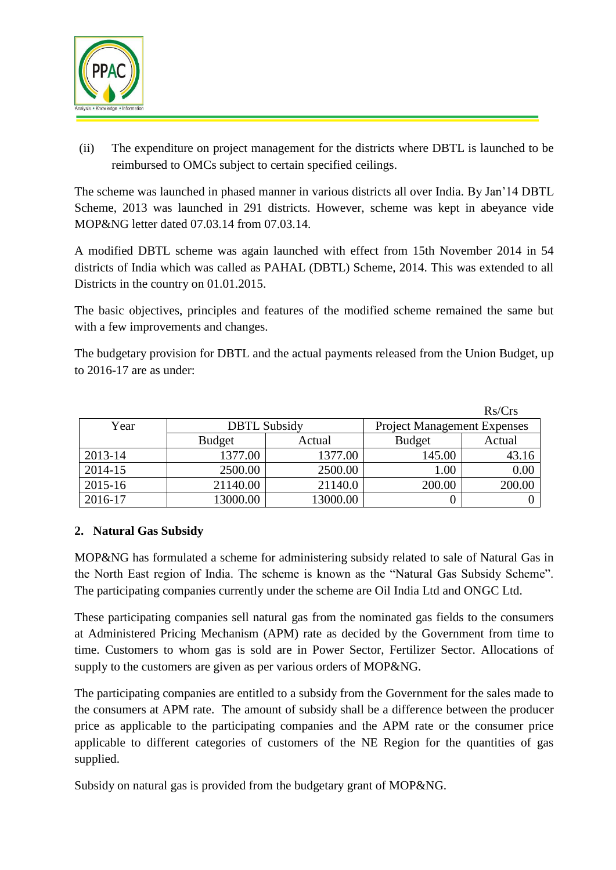

(ii) The expenditure on project management for the districts where DBTL is launched to be reimbursed to OMCs subject to certain specified ceilings.

The scheme was launched in phased manner in various districts all over India. By Jan'14 DBTL Scheme, 2013 was launched in 291 districts. However, scheme was kept in abeyance vide MOP&NG letter dated 07.03.14 from 07.03.14.

A modified DBTL scheme was again launched with effect from 15th November 2014 in 54 districts of India which was called as PAHAL (DBTL) Scheme, 2014. This was extended to all Districts in the country on 01.01.2015.

The basic objectives, principles and features of the modified scheme remained the same but with a few improvements and changes.

The budgetary provision for DBTL and the actual payments released from the Union Budget, up to 2016-17 are as under:

|         |                     |          |                                    | Rs/Crs |
|---------|---------------------|----------|------------------------------------|--------|
| Year    | <b>DBTL Subsidy</b> |          | <b>Project Management Expenses</b> |        |
|         | <b>Budget</b>       | Actual   | <b>Budget</b>                      | Actual |
| 2013-14 | 1377.00             | 1377.00  | 145.00                             | 43.16  |
| 2014-15 | 2500.00             | 2500.00  | 1.00                               | 0.00   |
| 2015-16 | 21140.00            | 21140.0  | 200.00                             | 200.00 |
| 2016-17 | 13000.00            | 13000.00 |                                    |        |

## **2. Natural Gas Subsidy**

MOP&NG has formulated a scheme for administering subsidy related to sale of Natural Gas in the North East region of India. The scheme is known as the "Natural Gas Subsidy Scheme". The participating companies currently under the scheme are Oil India Ltd and ONGC Ltd.

These participating companies sell natural gas from the nominated gas fields to the consumers at Administered Pricing Mechanism (APM) rate as decided by the Government from time to time. Customers to whom gas is sold are in Power Sector, Fertilizer Sector. Allocations of supply to the customers are given as per various orders of MOP&NG.

The participating companies are entitled to a subsidy from the Government for the sales made to the consumers at APM rate. The amount of subsidy shall be a difference between the producer price as applicable to the participating companies and the APM rate or the consumer price applicable to different categories of customers of the NE Region for the quantities of gas supplied.

Subsidy on natural gas is provided from the budgetary grant of MOP&NG.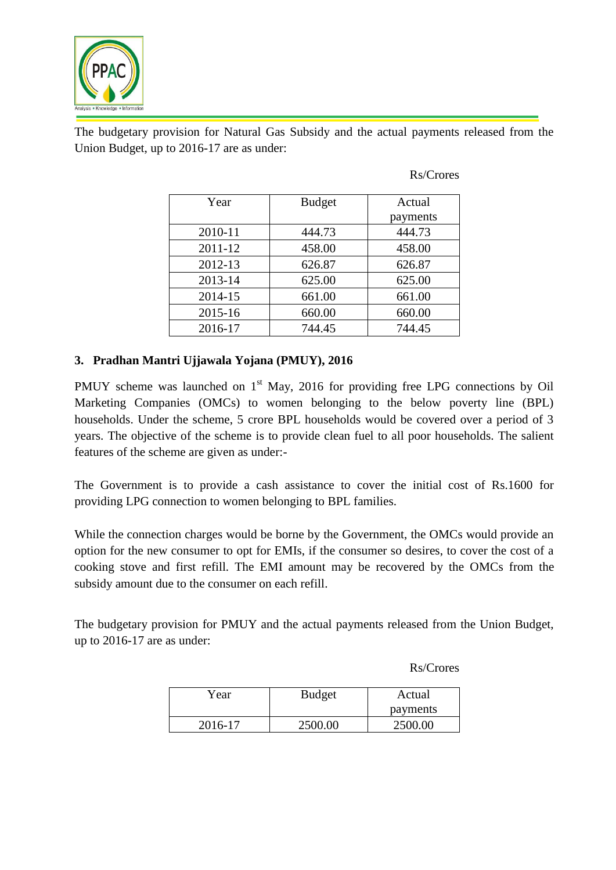

The budgetary provision for Natural Gas Subsidy and the actual payments released from the Union Budget, up to 2016-17 are as under:

| Year    | <b>Budget</b> | Actual   |
|---------|---------------|----------|
|         |               |          |
|         |               | payments |
| 2010-11 | 444.73        | 444.73   |
| 2011-12 | 458.00        | 458.00   |
| 2012-13 | 626.87        | 626.87   |
| 2013-14 | 625.00        | 625.00   |
| 2014-15 | 661.00        | 661.00   |
| 2015-16 | 660.00        | 660.00   |
| 2016-17 | 744.45        | 744.45   |

Rs/Crores

### **3. Pradhan Mantri Ujjawala Yojana (PMUY), 2016**

PMUY scheme was launched on  $1<sup>st</sup>$  May, 2016 for providing free LPG connections by Oil Marketing Companies (OMCs) to women belonging to the below poverty line (BPL) households. Under the scheme, 5 crore BPL households would be covered over a period of 3 years. The objective of the scheme is to provide clean fuel to all poor households. The salient features of the scheme are given as under:-

The Government is to provide a cash assistance to cover the initial cost of Rs.1600 for providing LPG connection to women belonging to BPL families.

While the connection charges would be borne by the Government, the OMCs would provide an option for the new consumer to opt for EMIs, if the consumer so desires, to cover the cost of a cooking stove and first refill. The EMI amount may be recovered by the OMCs from the subsidy amount due to the consumer on each refill.

The budgetary provision for PMUY and the actual payments released from the Union Budget, up to 2016-17 are as under:

Rs/Crores

| Year    | <b>Budget</b><br>Actual |          |
|---------|-------------------------|----------|
|         |                         | payments |
| 2016-17 | 2500.00                 | 2500.00  |